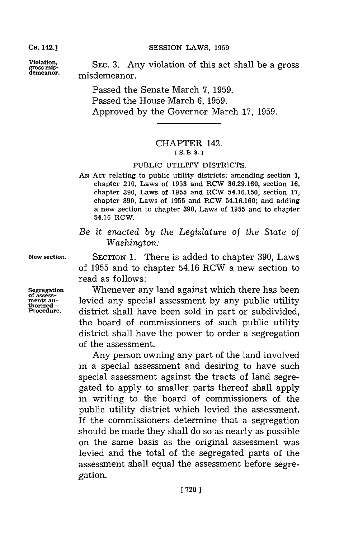**CH.** 142.]

SESSION LAWS, 1959

**Violation,** voaino hsatsalb rs **gross mis- SEC. 3.** Any voaino hsatsalb rs **demeanor,** misdemeanor.

Passed the Senate March **7, 1959.** Passed the House March **6, 1959.** Approved **by** the Governor March **17, 1959.**

## CHAPTER 142. **[ S. B. 8.]1**

## PUBLIC UTILITY DISTRICTS.

- **AN ACT** relating to public utility districts; amending section **1,** chapter 210, Laws of **1953** and RCW **36.29.160,** section **16,** chapter **390,** Laws of **1955** and ROW **54.16.150,** section **17,** chapter **390,** Laws of **1955** and RCW **54.16.160;** and adding a new section to chapter **390,** Laws of **1955** and to chapter 54.16 RCW.
- *Be it enacted by the Legislature of the State of Washington:*

**New section.** SECTION **1.** There is added to chapter **390,** Laws of **1955** and to chapter 54.16 RCW a new section to read as follows:

**Segregation** Whenever any land against which there has been **ments au-** levied any special assessment **by** any public utility **Procedure,** district shall have been sold in part or subdivided, the board of commissioners of such public utility district shall have the power to order a segregation of the assessment.

> Any person owning any part of the land involved in a special assessment and desiring to have such special assessment against the tracts of land segregated to apply to smaller parts thereof shall apply in writing to the board of commissioners of the public utility district which levied the assessment. If the commissioners determine that a segregation should be made they shall do so as nearly as possible on the same basis as the original assessment was levied and the total of the segregated parts of the assessment shall equal the assessment before segregation.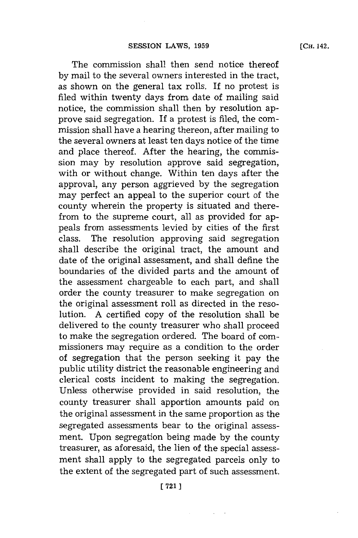The commission shall then send notice thereof **by** mail to the several owners interested in the tract, as shown on the general tax rolls. If no protest is filed within twenty days from date of mailing said notice, the commission shall then **by** resolution approve said segregation. If a protest is filed, the commission shall have a hearing thereon, after mailing to the several owners at least ten days notice of the time and place thereof. After the hearing, the commission may **by** resolution approve said segregation, with or without change. Within ten days after the approval, any person aggrieved **by** the segregation may perfect an appeal to the superior court of the county wherein the property is situated and therefrom to the supreme court, all as provided for appeals from assessments levied **by** cities of the first class. The resolution approving said segregation shall describe the original tract, the amount and date of the original assessment, and shall define the boundaries of the divided parts and the amount of the assessment chargeable to each part, and shall order the county treasurer to make segregation on the original assessment roll as directed in the resolution. **A** certified copy of the resolution shall be delivered to the county treasurer who shall proceed to make the segregation ordered. The board of commissioners may require as a condition to the order of segregation that the person seeking it pay the public utility district the reasonable engineering and clerical costs incident to making the segregation. Unless otherwise provided in said resolution, the county treasurer shall apportion amounts paid on the original assessment in the same proportion as the segregated assessments bear to the original assessment. Upon segregation being made **by** the county treasurer, as aforesaid, the lien of the special assessment shall apply to the segregated parcels only to the extent of the segregated part of such assessment.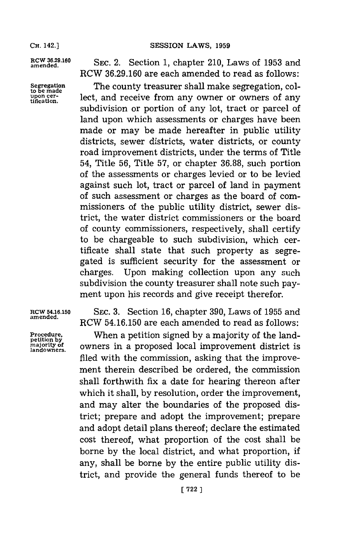**to be made upon cer-**

**amend3..6 SEC.** 2. Section **1,** chapter 210, Laws of **1953** and RCW **36.29.160** are each amended to read as follows:

**Segregation** The county treasurer shall make segregation, collect, and receive from any owner or owners of any subdivision or portion of any lot, tract or parcel of land upon which assessments or charges have been made or may be made hereafter in public utility districts, sewer districts, water districts, or county road improvement districts, under the terms of Title 54, Title **56,** Title **57,** or chapter **36.88,** such portion of the assessments or charges levied or to be levied against such lot, tract or parcel of land in payment of such assessment or charges as the board of commissioners of the public utility district, sewer district, the water district commissioners or the board of county commissioners, respectively, shall certify to be chargeable to such subdivision, which certificate shall state that such property as segregated is sufficient security for the assessment or charges. Upon making collection upon any such subdivision the county treasurer shall note such payment upon his records and give receipt therefor.

## **amended.**

**landowners.**

**RCW 54.16.150 SEC. 3.** Section **16,** chapter **390,** Laws of **1955** and RCW **54.16.150** are each amended to read as follows:

**Procedure,** When a petition signed **by** a majority of the land**owners** in a proposed local improvement district is filed with the commission, asking that the improvement therein described be ordered, the commission shall forthwith fix a date for hearing thereon after which it shall, **by** resolution, order the improvement, and may alter the boundaries of the proposed district; prepare and adopt the improvement; prepare and adopt detail plans thereof; declare the estimated cost thereof, what proportion of the cost shall be borne **by** the local district, and what proportion, **if** any, shall be borne **by** the entire public utility district, and provide the general funds thereof to be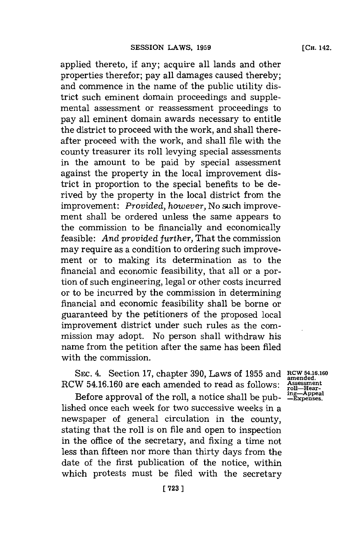applied thereto, if any; acquire all lands and other properties therefor; pay all damages caused thereby; and commence in the name of the public utility district such eminent domain proceedings and supplemental assessment or reassessment proceedings to pay all eminent domain awards necessary to entitle the district to proceed with the work, and shall thereafter proceed with the work, and shall file with the county treasurer its roll levying special assessments in the amount to be paid **by** special assessment against the property in the local improvement district in proportion to the special benefits to be derived **by** the property in the local district from the improvement: *Provided, however,* No such improvement shall be ordered unless the same appears to the commission to be financially and economically feasible: *And provided further,* That the commission may require as a condition to ordering such improvement or to making its determination as to the financial and economic feasibility, that all or a portion of such engineering, legal or other costs incurred or to be incurred **by** the commission in determining financial and economic feasibility shall be borne or guaranteed **by** the petitioners of the proposed local improvement district under such rules as the commission may adopt. No person shall withdraw his name from the petition after the same has been filed with the commission.

SEC. 4. Section 17, chapter 390, Laws of 1955 and RCW 54.16.160 **amended.** RCW **54.16.160** are each amended to read as **follows: Assessment**

Before approval of the roll, a notice shall be published once each week for two successive weeks in a newspaper of general circulation in the county, stating that the roll is on file and open to inspection in the office of the secretary, and fixing a time not less than fifteen nor more than thirty days from the date of the first publication of the notice, within which protests must be filed with the secretary

roll—Hear-<br>ing—Appeal<br>—Expenses.